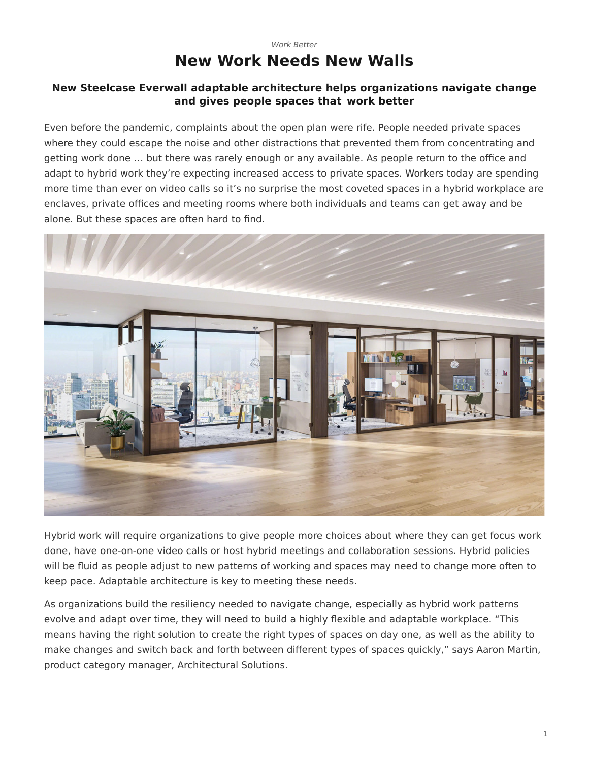## *[Work Better](https://www.steelcase.com/research/topics/work-better/)* **New Work Needs New Walls**

#### <span id="page-0-0"></span>**New Steelcase Everwall adaptable architecture helps organizations navigate change and gives people spaces that work better**

Even before the pandemic, complaints about the open plan were rife. People needed private spaces where they could escape the noise and other distractions that prevented them from concentrating and getting work done … but there was rarely enough or any available. As people return to the office and adapt to hybrid work they're expecting increased access to private spaces. Workers today are spending more time than ever on video calls so it's no surprise the most coveted spaces in a hybrid workplace are enclaves, private offices and meeting rooms where both individuals and teams can get away and be alone. But these spaces are often hard to find.



Hybrid work will require organizations to give people more choices about where they can get focus work done, have one-on-one video calls or host hybrid meetings and collaboration sessions. Hybrid policies will be fluid as people adjust to new patterns of working and spaces may need to change more often to keep pace. Adaptable architecture is key to meeting these needs.

As organizations build the resiliency needed to navigate change, especially as hybrid work patterns evolve and adapt over time, they will need to build a highly flexible and adaptable workplace. "This means having the right solution to create the right types of spaces on day one, as well as the ability to make changes and switch back and forth between different types of spaces quickly," says Aaron Martin, product category manager, Architectural Solutions.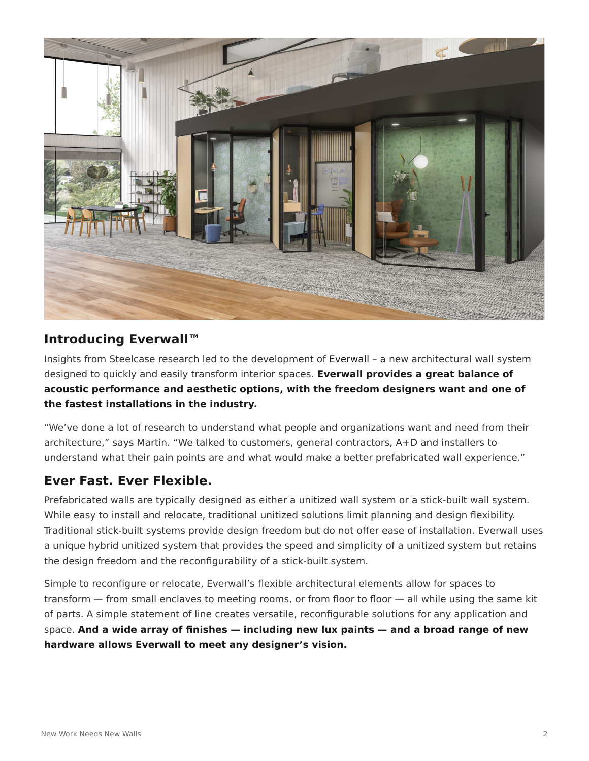

## **Introducing Everwall™**

Insights from Steelcase research led to the development of [Everwall](https://www.steelcase.com/products/walls-work-walls/everwall/) – a new architectural wall system designed to quickly and easily transform interior spaces. **Everwall provides a great balance of acoustic performance and aesthetic options, with the freedom designers want and one of the fastest installations in the industry.**

"We've done a lot of research to understand what people and organizations want and need from their architecture," says Martin. "We talked to customers, general contractors, A+D and installers to understand what their pain points are and what would make a better prefabricated wall experience."

# **Ever Fast. Ever Flexible.**

Prefabricated walls are typically designed as either a unitized wall system or a stick-built wall system. While easy to install and relocate, traditional unitized solutions limit planning and design flexibility. Traditional stick-built systems provide design freedom but do not offer ease of installation. Everwall uses a unique hybrid unitized system that provides the speed and simplicity of a unitized system but retains the design freedom and the reconfigurability of a stick-built system.

Simple to reconfigure or relocate, Everwall's flexible architectural elements allow for spaces to transform — from small enclaves to meeting rooms, or from floor to floor — all while using the same kit of parts. A simple statement of line creates versatile, reconfigurable solutions for any application and space. **And a wide array of finishes — including new lux paints — and a broad range of new hardware allows Everwall to meet any designer's vision.**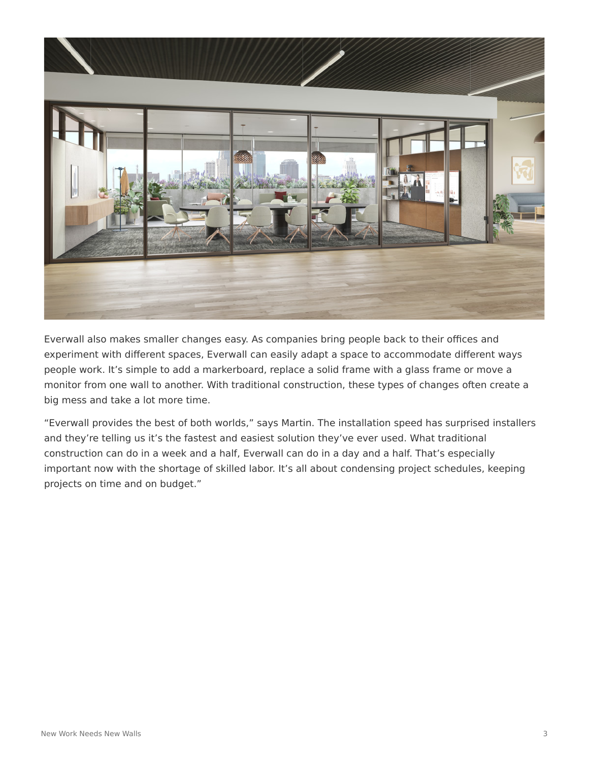

Everwall also makes smaller changes easy. As companies bring people back to their offices and experiment with different spaces, Everwall can easily adapt a space to accommodate different ways people work. It's simple to add a markerboard, replace a solid frame with a glass frame or move a monitor from one wall to another. With traditional construction, these types of changes often create a big mess and take a lot more time.

"Everwall provides the best of both worlds," says Martin. The installation speed has surprised installers and they're telling us it's the fastest and easiest solution they've ever used. What traditional construction can do in a week and a half, Everwall can do in a day and a half. That's especially important now with the shortage of skilled labor. It's all about condensing project schedules, keeping projects on time and on budget."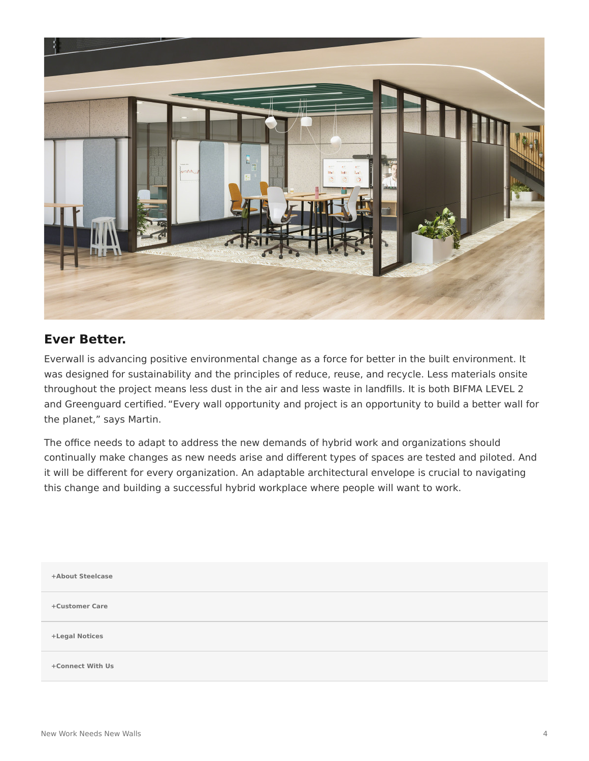

#### **Ever Better.**

Everwall is advancing positive environmental change as a force for better in the built environment. It was designed for sustainability and the principles of reduce, reuse, and recycle. Less materials onsite throughout the project means less dust in the air and less waste in landfills. It is both BIFMA LEVEL 2 and Greenguard certified. "Every wall opportunity and project is an opportunity to build a better wall for the planet," says Martin.

The office needs to adapt to address the new demands of hybrid work and organizations should continually make changes as new needs arise and different types of spaces are tested and piloted. And it will be different for every organization. An adaptable architectural envelope is crucial to navigating this change and building a successful hybrid workplace where people will want to work.

| +About Steelcase |  |
|------------------|--|
| +Customer Care   |  |
| +Legal Notices   |  |
| +Connect With Us |  |